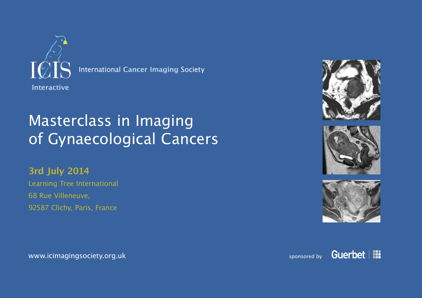

International **Cancer Imaging** Society

# Masterclass in Imaging of Gynaecological Cancers

### **3rd July 2014**

Learning Tree International 68 Rue Villeneuve, 92587 Clichy, Paris, France







#### www.icimagingsociety.org.uk sponsored by a sponsored by sponsored by sponsored by

Guerbet | !!!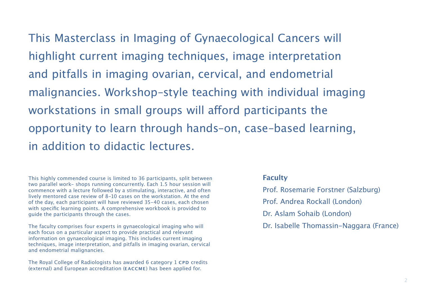This Masterclass in Imaging of Gynaecological Cancers will highlight current imaging techniques, image interpretation and pitfalls in imaging ovarian, cervical, and endometrial malignancies. Workshop–style teaching with individual imaging workstations in small groups will afford participants the opportunity to learn through hands–on, case–based learning, in addition to didactic lectures.

This highly commended course is limited to 36 participants, split between two parallel work‑ shops running concurrently. Each 1.5 hour session will commence with a lecture followed by a stimulating, interactive, and often lively mentored case review of 8-10 cases on the workstation. At the end of the day, each participant will have reviewed 35-40 cases, each chosen with specific learning points. A comprehensive workbook is provided to guide the participants through the cases.

The faculty comprises four experts in gynaecological imaging who will each focus on a particular aspect to provide practical and relevant information on gynaecological imaging. This includes current imaging techniques, image interpretation, and pitfalls in imaging ovarian, cervical and endometrial malignancies.

The Royal College of Radiologists has awarded 6 category 1 CPD credits (external) and European accreditation (**eaccme**) has been applied for.

#### **Faculty**

Prof. Rosemarie Forstner (Salzburg) Prof. Andrea Rockall (London) Dr. Aslam Sohaib (London) Dr. Isabelle Thomassin-Naggara (France)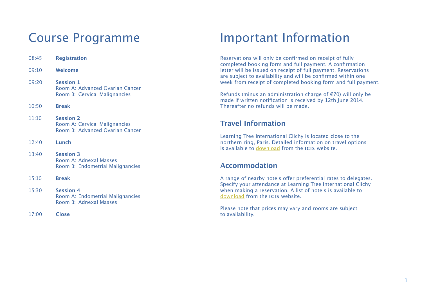### Course Programme

| 08:45 | <b>Registration</b>                                                                   |
|-------|---------------------------------------------------------------------------------------|
| 09:10 | Welcome                                                                               |
| 09:20 | <b>Session 1</b><br>Room A: Advanced Ovarian Cancer<br>Room B: Cervical Malignancies  |
| 10:50 | <b>Break</b>                                                                          |
| 11:10 | <b>Session 2</b><br>Room A: Cervical Malignancies<br>Room B: Advanced Ovarian Cancer  |
| 12:40 | Lunch                                                                                 |
| 13:40 | <b>Session 3</b><br>Room A: Adnexal Masses<br>Room B: Endometrial Malignancies        |
| 15:10 | <b>Break</b>                                                                          |
| 15:30 | <b>Session 4</b><br>Room A: Endometrial Malignancies<br><b>Room B: Adnexal Masses</b> |
| 17:00 | <b>Close</b>                                                                          |

## Important Information

Reservations will only be confirmed on receipt of fully completed booking form and full payment. A confirmation letter will be issued on receipt of full payment. Reservations are subject to availability and will be confirmed within one week from receipt of completed booking form and full payment.

Refunds (minus an administration charge of €70) will only be made if written notification is received by 12th June 2014. Thereafter no refunds will be made.

#### **Travel Information**

Learning Tree International Clichy is located close to the northern ring, Paris. Detailed information on travel options is available to [download](http://www.icimagingsociety.org.uk/downloads/meetings/Learning%2520Tree_Clichy%20%2520Paris_location%2520information.pdf) from the **icis** website.

#### **Accommodation**

A range of nearby hotels offer preferential rates to delegates. Specify your attendance at Learning Tree International Clichy when making a reservation. A list of hotels is available to [download](http://www.icimagingsociety.org.uk/downloads/meetings/Learning%2520Tree_Clichy%20%2520Paris_hotel%2520information.pdf%20) from the **icis** website.

Please note that prices may vary and rooms are subject to availability.